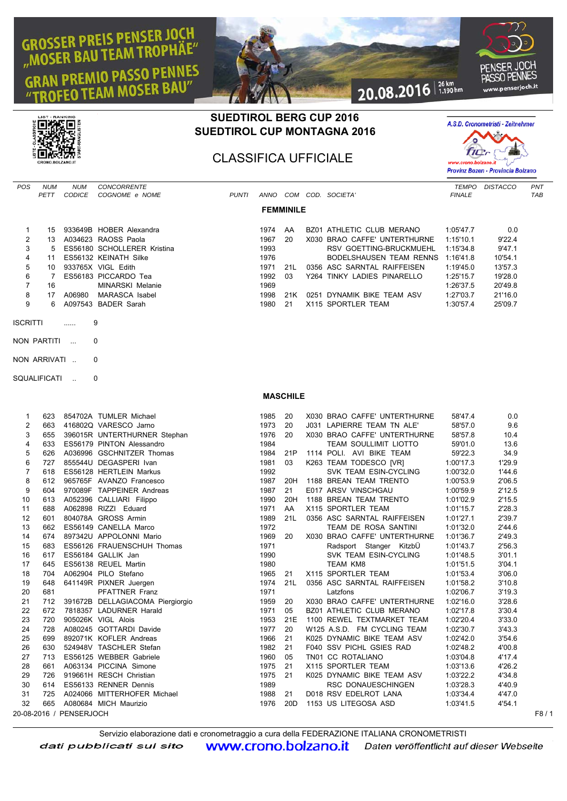## **GROSSER PREIS PENSER JOCH** R PREIS FENSENSORIAE" **PREMIO PASSO PENNES M MOSER BAU**



## **SUEDTIROL BERG CUP 2016 SUEDTIROL CUP MONTAGNA 2016**

CLASSIFICA UFFICIALE



| POS | <b>NUM</b><br>PETT | <b>NUM</b><br><b>CODICE</b> | <b>CONCORRENTE</b><br>COGNOME e NOME | <b>PUNTI</b> | ANNO | COM              |      | COD. SOCIETA'                | <b>TEMPO</b><br><b>FINALE</b> | <b>DISTACCO</b> | PN <sub>1</sub><br><b>TAE</b> |
|-----|--------------------|-----------------------------|--------------------------------------|--------------|------|------------------|------|------------------------------|-------------------------------|-----------------|-------------------------------|
|     |                    |                             |                                      |              |      | <b>FEMMINILE</b> |      |                              |                               |                 |                               |
|     | 15                 |                             | 933649B HOBER Alexandra              |              | 1974 | AA               |      | BZ01 ATHLETIC CLUB MERANO    | 1:05'47.7                     | 0.0             |                               |
| 2   | 13                 |                             | A034623 RAOSS Paola                  |              | 1967 | 20               |      | X030 BRAO CAFFE' UNTERTHURNE | 1:15'10.1                     | 9'22.4          |                               |
| 3   | 5                  |                             | ES56180 SCHOLLERER Kristina          |              | 1993 |                  |      | RSV GOETTING-BRUCKMUEHL      | 1:15'34.8                     | 9'47.1          |                               |
| 4   | 11                 |                             | ES56132 KEINATH Silke                |              | 1976 |                  |      | BODELSHAUSEN TEAM RENNS      | 1:16'41.8                     | 10'54.1         |                               |
| 5   | 10                 |                             | 933765X VIGL Edith                   |              | 1971 | 211              |      | 0356 ASC SARNTAL RAIFFEISEN  | 1:19'45.0                     | 13'57.3         |                               |
| 6   |                    |                             | ES56183 PICCARDO Tea                 |              | 1992 | 03               |      | Y264 TINKY LADIES PINARELLO  | 1:25'15.7                     | 19'28.0         |                               |
|     | 16                 |                             | <b>MINARSKI Melanie</b>              |              | 1969 |                  |      |                              | 1:26'37.5                     | 20'49.8         |                               |
| 8   | 17                 | A06980                      | <b>MARASCA Isabel</b>                |              | 1998 | 21K              | 0251 | DYNAMIK BIKE TEAM ASV        | 1:27'03.7                     | 21'16.0         |                               |
| 9   | 6.                 |                             | A097543 BADER Sarah                  |              | 1980 | 21               |      | X115 SPORTLER TEAM           | 1:30'57.4                     | 25'09.7         |                               |

- NON PARTITI ... 0
- NON ARRIVATI .. 0
- SQUALIFICATI .. 0

**MASCHILE**

| 1              | 623 |                         | 854702A TUMLER Michael           | 1985    | 20              | X030 BRAO CAFFE' UNTERTHURNE | 58'47.4   | 0.0    |      |
|----------------|-----|-------------------------|----------------------------------|---------|-----------------|------------------------------|-----------|--------|------|
| 2              | 663 |                         | 416802Q VARESCO Jarno            | 1973    | 20              | J031 LAPIERRE TEAM TN ALE'   | 58'57.0   | 9.6    |      |
| 3              | 655 |                         | 396015R UNTERTHURNER Stephan     | 1976    | 20              | X030 BRAO CAFFE' UNTERTHURNE | 58'57.8   | 10.4   |      |
| 4              | 633 |                         | ES56179 PINTON Alessandro        | 1984    |                 | TEAM SOULLIMIT LIOTTO        | 59'01.0   | 13.6   |      |
| 5              | 626 |                         | A036996 GSCHNITZER Thomas        | 1984    | 21P             | 1114 POLI. AVI BIKE TEAM     | 59'22.3   | 34.9   |      |
| 6              | 727 |                         | 855544U DEGASPERI Ivan           | 1981    | 03              | K263 TEAM TODESCO [VR]       | 1:00'17.3 | 1'29.9 |      |
| $\overline{7}$ | 618 |                         | ES56128 HERTLEIN Markus          | 1992    |                 | SVK TEAM ESIN-CYCLING        | 1:00'32.0 | 1'44.6 |      |
| 8              | 612 |                         | 965765F AVANZO Francesco         | 1987    | 20H             | 1188 BREAN TEAM TRENTO       | 1:00'53.9 | 2'06.5 |      |
| 9              | 604 |                         | 970089F TAPPEINER Andreas        | 1987    | 21              | E017 ARSV VINSCHGAU          | 1:00'59.9 | 2'12.5 |      |
| 10             | 613 |                         | A052396 CALLIARI Filippo         | 1990    | 20H             | 1188 BREAN TEAM TRENTO       | 1:01'02.9 | 2'15.5 |      |
| 11             | 688 |                         | A062898 RIZZI Eduard             | 1971    | AA              | X115 SPORTLER TEAM           | 1:01'15.7 | 2'28.3 |      |
| 12             | 601 |                         | 804078A GROSS Armin              | 1989    | 21L             | 0356 ASC SARNTAL RAIFFEISEN  | 1:01'27.1 | 2'39.7 |      |
| 13             | 662 |                         | ES56149 CANELLA Marco            | 1972    |                 | TEAM DE ROSA SANTINI         | 1:01'32.0 | 2'44.6 |      |
| 14             | 674 |                         | 897342U APPOLONNI Mario          | 1969    | 20              | X030 BRAO CAFFE' UNTERTHURNE | 1:01'36.7 | 2'49.3 |      |
| 15             | 683 |                         | ES56126 FRAUENSCHUH Thomas       | 1971    |                 | Radsport Stanger KitzbÜ      | 1:01'43.7 | 2'56.3 |      |
| 16             | 617 |                         | ES56184 GALLIK Jan               | 1990    |                 | SVK TEAM ESIN-CYCLING        | 1:01'48.5 | 3'01.1 |      |
| 17             | 645 |                         | ES56138 REUEL Martin             | 1980    |                 | <b>TEAM KM8</b>              | 1:01'51.5 | 3'04.1 |      |
| 18             | 704 |                         | A062904 PILO Stefano             | 1965 21 |                 | X115 SPORTLER TEAM           | 1:01'53.4 | 3'06.0 |      |
| 19             | 648 |                         | 641149R PIXNER Juergen           | 1974    | 21L             | 0356 ASC SARNTAL RAIFFEISEN  | 1:01'58.2 | 3'10.8 |      |
| 20             | 681 |                         | <b>PFATTNER Franz</b>            | 1971    |                 | Latzfons                     | 1:02'06.7 | 3'19.3 |      |
| 21             | 712 |                         | 391672B DELLAGIACOMA Piergiorgio | 1959    | 20              | X030 BRAO CAFFE' UNTERTHURNE | 1:02'16.0 | 3'28.6 |      |
| 22             | 672 |                         | 7818357 LADURNER Harald          | 1971    | 05              | BZ01 ATHLETIC CLUB MERANO    | 1:02'17.8 | 3'30.4 |      |
| 23             | 720 |                         | 905026K VIGL Alois               | 1953    | 21E             | 1100 REWEL TEXTMARKET TEAM   | 1:02'20.4 | 3'33.0 |      |
| 24             | 728 |                         | A080245 GOTTARDI Davide          | 1977    | 20              | W125 A.S.D. FM CYCLING TEAM  | 1:02'30.7 | 3'43.3 |      |
| 25             | 699 |                         | 892071K KOFLER Andreas           | 1966    | 21              | K025 DYNAMIC BIKE TEAM ASV   | 1:02'42.0 | 3'54.6 |      |
| 26             | 630 |                         | 524948V TASCHLER Stefan          | 1982    | 21              | F040 SSV PICHL GSIES RAD     | 1:02'48.2 | 4'00.8 |      |
| 27             | 713 |                         | ES56125 WEBBER Gabriele          | 1960    | 05              | TN01 CC ROTALIANO            | 1:03'04.8 | 4'17.4 |      |
| 28             | 661 |                         | A063134 PICCINA Simone           | 1975    | 21              | X115 SPORTLER TEAM           | 1:03'13.6 | 4'26.2 |      |
| 29             | 726 |                         | 919661H RESCH Christian          | 1975 21 |                 | K025 DYNAMIC BIKE TEAM ASV   | 1:03'22.2 | 4'34.8 |      |
| 30             | 614 |                         | ES56133 RENNER Dennis            | 1989    |                 | RSC DONAUESCHINGEN           | 1:03'28.3 | 4'40.9 |      |
| 31             | 725 |                         | A024066 MITTERHOFER Michael      | 1988    | 21              | D018 RSV EDELROT LANA        | 1:03'34.4 | 4'47.0 |      |
| 32             | 665 |                         | A080684 MICH Maurizio            | 1976    | 20 <sub>D</sub> | 1153 US LITEGOSA ASD         | 1:03'41.5 | 4'54.1 |      |
|                |     | 20-08-2016 / PENSERJOCH |                                  |         |                 |                              |           |        | F8/1 |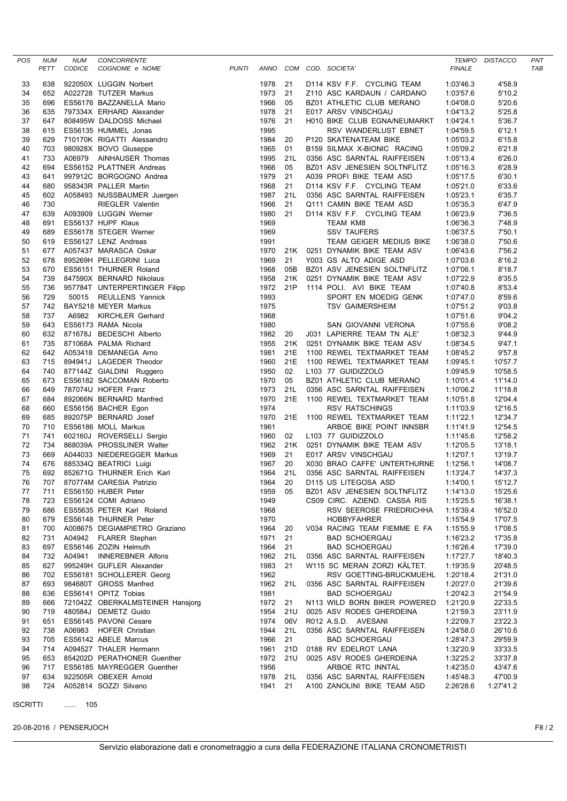| <b>POS</b> | <b>NUM</b><br>PETT | <b>NUM</b><br><b>CODICE</b> | CONCORRENTE<br>COGNOME e NOME                                                                                          | <b>PUNTI</b> |              |            | ANNO COM COD. SOCIETA'                                   | <b>FINALE</b>          | TEMPO DISTACCO     | PNT<br><b>TAB</b> |
|------------|--------------------|-----------------------------|------------------------------------------------------------------------------------------------------------------------|--------------|--------------|------------|----------------------------------------------------------|------------------------|--------------------|-------------------|
| 33         | 638                |                             | 922050X LUGGIN Norbert                                                                                                 |              | 1978         | 21         | D114 KSV F.F. CYCLING TEAM                               | 1:03'46.3              | 4'58.9             |                   |
| 34         | 652                |                             | A022728 TUTZER Markus                                                                                                  |              | 1973         | 21         | Z110 ASC KARDAUN / CARDANO                               | 1:03'57.6              | 5'10.2             |                   |
| 35         | 696                |                             | ES56176 BAZZANELLA Mario                                                                                               |              | 1966         | 05         | BZ01 ATHLETIC CLUB MERANO                                | 1:04'08.0              | 5'20.6             |                   |
| 36         | 635                |                             | 797334X ERHARD Alexander                                                                                               |              | 1978         | 21         | E017 ARSV VINSCHGAU                                      | 1:04'13.2              | 5'25.8             |                   |
| 37         | 647                |                             | 808495W DALDOSS Michael                                                                                                |              | 1976         | 21         | H010 BIKE CLUB EGNA/NEUMARKT                             | 1:04'24.1              | 5'36.7             |                   |
| 38         | 615                |                             | ES56135 HUMMEL Jonas                                                                                                   |              | 1995         |            | RSV WANDERLUST EBNET                                     | 1:04'59.5              | 6'12.1             |                   |
| 39         | 629                |                             | 710170K RIGATTI Alessandro                                                                                             |              | 1984         | 20         | P120 SKATENATEAM BIKE                                    | 1:05'03.2              | 6'15.8             |                   |
| 40         | 703                |                             |                                                                                                                        |              | 1965         | 01         | B159 SILMAX X-BIONIC RACING                              | 1:05'09.2              | 6'21.8             |                   |
| 41         | 733                |                             | 980928X BOVO Giuseppe<br>980928X BOVO Giuseppe<br>A06979 AINHAUSER Thomas<br>ES56152 PLATTNER Andreas                  |              | 1995         | 21L        | 0356 ASC SARNTAL RAIFFEISEN                              | 1:05'13.4              | 6'26.0             |                   |
| 42         | 694                |                             |                                                                                                                        |              | 1966         | 05         | BZ01 ASV JENESIEN SOLTNFLITZ                             | 1:05'16.3              | 6'28.9             |                   |
| 43         | 641                |                             | 997912C BORGOGNO Andrea                                                                                                |              | 1979         | 21         | A039 PROFI BIKE TEAM ASD                                 | 1:05'17.5              | 6'30.1             |                   |
| 44         | 680                |                             | 958343R PALLER Martin                                                                                                  |              | 1968         | 21<br>21L  | D114 KSV F.F. CYCLING TEAM                               | 1:05'21.0              | 6'33.6             |                   |
| 45<br>46   | 602<br>730         |                             | A058493 NUSSBAUMER Juergen<br>RIEGLER Valentin<br>A093909 LUGGIN Werner<br>ES56137 HUPF Klaus<br>ES66179 STECER WATPOT |              | 1987<br>1966 | 21         | 0356 ASC SARNTAL RAIFFEISEN<br>Q111 CAMIN BIKE TEAM ASD  | 1:05'23.1<br>1:05'35.3 | 6'35.7<br>6'47.9   |                   |
| 47         | 639                |                             |                                                                                                                        |              | 1980         | 21         | D114 KSV F.F. CYCLING TEAM                               | 1:06'23.9              | 7'36.5             |                   |
| 48         | 691                |                             |                                                                                                                        |              | 1969         |            | TEAM KM8                                                 | 1:06'36.3              | 7'48.9             |                   |
| 49         | 689                |                             | ES56178 STEGER Werner                                                                                                  |              | 1969         |            | <b>SSV TAUFERS</b>                                       | 1:06'37.5              | 7'50.1             |                   |
| 50         | 619                |                             | ES56127 LENZ Andreas                                                                                                   |              | 1991         |            | TEAM GEIGER MEDIUS BIKE                                  | 1:06'38.0              | 7'50.6             |                   |
| 51         | 677                |                             | A057437 MARASCA Oskar                                                                                                  |              | 1970         |            | 21K 0251 DYNAMIK BIKE TEAM ASV                           | 1:06'43.6              | 7'56.2             |                   |
| 52         | 678                |                             | 895269H PELLEGRINI Luca                                                                                                |              | 1969         | 21         | Y003 GS ALTO ADIGE ASD                                   | 1:07'03.6              | 8'16.2             |                   |
| 53         | 670                |                             | ES56151 THURNER Roland                                                                                                 |              | 1968         | 05B        | BZ01 ASV JENESIEN SOLTNFLITZ                             | 1:07'06.1              | 8'18.7             |                   |
| 54         | 739                |                             | 847590X BERNARD Nikolaus                                                                                               |              | 1958         | 21K        | 0251 DYNAMIK BIKE TEAM ASV                               | 1:07'22.9              | 8'35.5             |                   |
| 55         | 736                |                             | 957784T UNTERPERTINGER Filipp                                                                                          |              | 1972         | 21P        | 1114 POLI. AVI BIKE TEAM                                 | 1:07'40.8              | 8'53.4             |                   |
| 56         | 729                |                             | 50015 REULLENS Yannick                                                                                                 |              | 1993         |            | SPORT EN MOEDIG GENK                                     | 1:07'47.0              | 8'59.6             |                   |
| 57         | 742                |                             | BAY5218 MEYER Markus                                                                                                   |              | 1975         |            | <b>TSV GAIMERSHEIM</b>                                   | 1:07'51.2              | 9'03.8             |                   |
| 58         | 737                |                             | A6982 KIRCHLER Gerhard                                                                                                 |              | 1968         |            |                                                          | 1:07'51.6              | 9'04.2             |                   |
| 59         | 643                |                             | ES56173 RAMA Nicola                                                                                                    |              | 1980         |            | SAN GIOVANNI VERONA                                      | 1:07'55.6              | 9'08.2             |                   |
| 60         | 632                |                             | 871678J BEDESCHI Alberto                                                                                               |              | 1982         | 20         | J031 LAPIERRE TEAM TN ALE'                               | 1:08'32.3              | 9'44.9             |                   |
| 61         | 735                |                             | 871068A PALMA Richard                                                                                                  |              | 1955         | 21K        | 0251 DYNAMIK BIKE TEAM ASV                               | 1:08'34.5              | 9'47.1             |                   |
| 62         | 642                |                             | A053418 DEMANEGA Arno                                                                                                  |              | 1981         | 21E        | 1100 REWEL TEXTMARKET TEAM                               | 1:08'45.2              | 9'57.8             |                   |
| 63         | 715                |                             | 894941J LAGEDER Theodor                                                                                                |              | 1960         | 21E        | 1100 REWEL TEXTMARKET TEAM                               | 1:09'45.1              | 10'57.7            |                   |
| 64         | 740                |                             | 877144Z GIALDINI Ruggero                                                                                               |              | 1950         | 02         | L103 77 GUIDIZZOLO                                       | 1:09'45.9              | 10'58.5            |                   |
| 65         | 673                |                             | ES56182 SACCOMAN Roberto                                                                                               |              | 1970         | 05         | BZ01 ATHLETIC CLUB MERANO                                | 1:10'01.4              | 11'14.0            |                   |
| 66         | 649                |                             | 787074U HOFER Franz                                                                                                    |              | 1973         | 21L<br>21E | 0356 ASC SARNTAL RAIFFEISEN                              | 1:10'06.2              | 11'18.8            |                   |
| 67<br>68   | 684<br>660         |                             | 892066N BERNARD Manfred<br>ES56156 BACHER Egon                                                                         |              | 1970<br>1974 |            | 1100 REWEL TEXTMARKET TEAM<br><b>RSV RATSCHINGS</b>      | 1:10'51.8<br>1:11'03.9 | 12'04.4<br>12'16.5 |                   |
| 69         | 685                |                             | 892075P BERNARD Josef                                                                                                  |              | 1970         | 21E        | 1100 REWEL TEXTMARKET TEAM                               | 1:11'22.1              | 12'34.7            |                   |
| 70         | 710                |                             | ES56186 MOLL Markus                                                                                                    |              | 1961         |            | ARBOE BIKE POINT INNSBR                                  | 1:11'41.9              | 12'54.5            |                   |
| 71         | 741                |                             | 602160J ROVERSELLI Sergio                                                                                              |              | 1960         | 02         | L103 77 GUIDIZZOLO                                       | 1:11'45.6              | 12'58.2            |                   |
| 72         | 734                |                             | 868039A PROSSLINER Walter                                                                                              |              | 1962         |            | 21K 0251 DYNAMIK BIKE TEAM ASV                           | 1:12'05.5              | 13'18.1            |                   |
| 73         | 669                |                             | A044033 NIEDEREGGER Markus                                                                                             |              | 1969         | 21         | E017 ARSV VINSCHGAU                                      | 1:12'07.1              | 13'19.7            |                   |
| 74         | 676                |                             | 885334Q BEATRICI Luigi                                                                                                 |              | 1967         | 20         | X030 BRAO CAFFE' UNTERTHURNE                             | 1:12'56.1              | 14'08.7            |                   |
| 75         | 692                |                             | 852671G THURNER Erich Karl                                                                                             |              | 1964         | 21L        | 0356 ASC SARNTAL RAIFFEISEN                              | 1:13'24.7              | 14'37.3            |                   |
| 76         |                    |                             | 707 870774M CARESIA Patrizio                                                                                           |              | 1964 20      |            | D115 US LITEGOSA ASD                                     | 1:14'00.1              | 15'12.7            |                   |
| 77         | 711                |                             | ES56150 HUBER Peter                                                                                                    |              | 1959         | 05         | BZ01 ASV JENESIEN SOLTNFLITZ                             | 1:14'13.0              | 15'25.6            |                   |
| 78         | 723                |                             | ES56124 COMI Adriano                                                                                                   |              | 1949         |            | CS09 CIRC. AZIEND. CASSA RIS                             | 1:15'25.5              | 16'38.1            |                   |
| 79         | 686                |                             | ES55635 PETER Karl Roland                                                                                              |              | 1968         |            | RSV SEEROSE FRIEDRICHHA                                  | 1:15'39.4              | 16'52.0            |                   |
| 80         | 679                |                             | ES56148 THURNER Peter                                                                                                  |              | 1970         |            | <b>HOBBYFAHRER</b>                                       | 1:15'54.9              | 17'07.5            |                   |
| 81         | 700                |                             | A008675 DEGIAMPIETRO Graziano                                                                                          |              | 1964         | 20         | V034 RACING TEAM FIEMME E FA                             | 1:15'55.9              | 17'08.5            |                   |
| 82         | 731                |                             | A04942 FLARER Stephan                                                                                                  |              | 1971         | 21         | <b>BAD SCHOERGAU</b>                                     | 1:16'23.2              | 17'35.8            |                   |
| 83         | 697                |                             | ES56146 ZOZIN Helmuth                                                                                                  |              | 1964         | 21         | <b>BAD SCHOERGAU</b>                                     | 1:16'26.4              | 17'39.0            |                   |
| 84         | 732                |                             | A04941 INNEREBNER Alfons                                                                                               |              | 1962         | 21L        | 0356 ASC SARNTAL RAIFFEISEN                              | 1:17'27.7              | 18'40.3            |                   |
| 85         | 627                |                             | 995249H GUFLER Alexander                                                                                               |              | 1983         | 21         | W115 SC MERAN ZORZI KÄLTET.                              | 1:19'35.9              | 20'48.5            |                   |
| 86         | 702                |                             | ES56181 SCHOLLERER Georg                                                                                               |              | 1962         |            | RSV GOETTING-BRUCKMUEHL                                  | 1:20'18.4              | 21'31.0            |                   |
| 87         | 693                |                             | 984680T GROSS Manfred                                                                                                  |              | 1962         | 21L        | 0356 ASC SARNTAL RAIFFEISEN                              | 1:20'27.0              | 21'39.6            |                   |
| 88         | 636                |                             | ES56141 OPITZ Tobias                                                                                                   |              | 1981         |            | <b>BAD SCHOERGAU</b>                                     | 1:20'42.3              | 21'54.9            |                   |
| 89<br>90   | 666<br>719         |                             | 721042Z OBERKALMSTEINER Hansjorg<br>480584J DEMETZ Guido                                                               |              | 1972<br>1954 | 21<br>21U  | N113 WILD BORN BIKER POWERED<br>0025 ASV RODES GHERDEINA | 1:21'20.9<br>1:21'59.3 | 22'33.5<br>23'11.9 |                   |
| 91         | 651                |                             | ES56145 PAVONI Cesare                                                                                                  |              | 1974         | 06V        | R012 A.S.D. AVESANI                                      | 1:22'09.7              | 23'22.3            |                   |
| 92         | 738                |                             | A06983 HOFER Christian                                                                                                 |              | 1944         | 21L        | 0356 ASC SARNTAL RAIFFEISEN                              | 1:24'58.0              | 26'10.6            |                   |
| 93         | 705                |                             | ES56142 ABELE Marcus                                                                                                   |              | 1966         | 21         | <b>BAD SCHOERGAU</b>                                     | 1:28'47.3              | 29'59.9            |                   |
| 94         | 714                |                             | A094527 THALER Hermann                                                                                                 |              | 1961         | 21D        | 0188 RV EDELROT LANA                                     | 1:32'20.9              | 33'33.5            |                   |
| 95         | 653                |                             | 854202D PERATHONER Guenther                                                                                            |              | 1972         | 21U        | 0025 ASV RODES GHERDEINA                                 | 1:32'25.2              | 33'37.8            |                   |
| 96         | 717                |                             | ES56185 MAYREGGER Guenther                                                                                             |              | 1956         |            | ARBOE RTC INNTAL                                         | 1:42'35.0              | 43'47.6            |                   |
| 97         | 634                |                             | 922505R OBEXER Arnold                                                                                                  |              | 1978         | 21L        | 0356 ASC SARNTAL RAIFFEISEN                              | 1:45'48.3              | 47'00.9            |                   |
| 98         | 724                |                             | A052814 SOZZI Silvano                                                                                                  |              | 1941         | 21         | A100 ZANOLINI BIKE TEAM ASD                              | 2:26'28.6              | 1:27'41.2          |                   |
|            |                    |                             |                                                                                                                        |              |              |            |                                                          |                        |                    |                   |

ISCRITTI ...... 105

20-08-2016 / PENSERJOCH F8 / 2